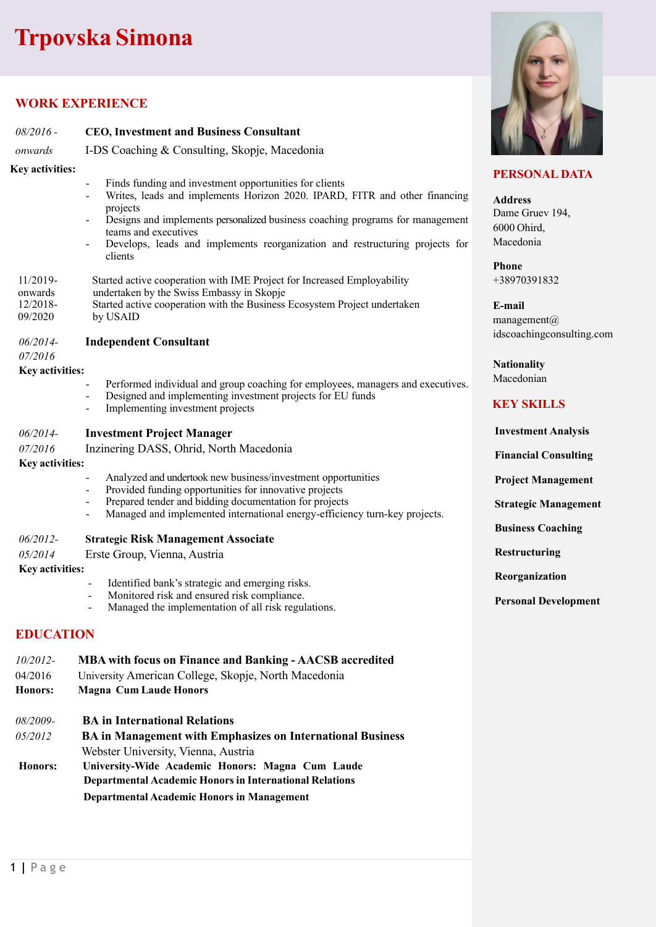# **Trpovska Simona**

## **WORK EXPERIENCE**

| $08/2016$ -                | <b>CEO, Investment and Business Consultant</b>                                                                                                                                                                                                                                                                                                       |                                                                               |
|----------------------------|------------------------------------------------------------------------------------------------------------------------------------------------------------------------------------------------------------------------------------------------------------------------------------------------------------------------------------------------------|-------------------------------------------------------------------------------|
| onwards                    | I-DS Coaching & Consulting, Skopje, Macedonia                                                                                                                                                                                                                                                                                                        |                                                                               |
| <b>Key activities:</b>     |                                                                                                                                                                                                                                                                                                                                                      | <b>PERSONAL D</b>                                                             |
|                            | Finds funding and investment opportunities for clients<br>Writes, leads and implements Horizon 2020. IPARD, FITR and other financing<br>projects<br>Designs and implements personalized business coaching programs for management<br>teams and executives<br>Develops, leads and implements reorganization and restructuring projects for<br>clients | <b>Address</b><br>Dame Gruev 194,<br>6000 Ohird,<br>Macedonia<br><b>Phone</b> |
| $11/2019-$<br>onwards      | Started active cooperation with IME Project for Increased Employability<br>undertaken by the Swiss Embassy in Skopje                                                                                                                                                                                                                                 | +38970391832                                                                  |
| 12/2018-<br>09/2020        | Started active cooperation with the Business Ecosystem Project undertaken<br>by USAID                                                                                                                                                                                                                                                                | E-mail<br>management $(a)$                                                    |
| 06/2014-<br>07/2016        | <b>Independent Consultant</b>                                                                                                                                                                                                                                                                                                                        | idscoachingconsu                                                              |
| Key activities:            |                                                                                                                                                                                                                                                                                                                                                      | <b>Nationality</b>                                                            |
|                            | Performed individual and group coaching for employees, managers and executives.                                                                                                                                                                                                                                                                      | Macedonian                                                                    |
|                            | Designed and implementing investment projects for EU funds<br>Implementing investment projects                                                                                                                                                                                                                                                       | <b>KEY SKILLS</b>                                                             |
| 06/2014-                   | <b>Investment Project Manager</b>                                                                                                                                                                                                                                                                                                                    | <b>Investment Ana</b>                                                         |
| 07/2016                    | Inzinering DASS, Ohrid, North Macedonia                                                                                                                                                                                                                                                                                                              | <b>Financial Consu</b>                                                        |
| Key activities:            | Analyzed and undertook new business/investment opportunities<br>$\qquad \qquad \blacksquare$                                                                                                                                                                                                                                                         |                                                                               |
|                            | Provided funding opportunities for innovative projects                                                                                                                                                                                                                                                                                               | <b>Project Manage</b>                                                         |
|                            | Prepared tender and bidding documentation for projects<br>$\overline{\phantom{a}}$<br>Managed and implemented international energy-efficiency turn-key projects.                                                                                                                                                                                     | <b>Strategic Manag</b>                                                        |
|                            |                                                                                                                                                                                                                                                                                                                                                      | <b>Business Coachi</b>                                                        |
| 06/2012-                   | <b>Strategic Risk Management Associate</b>                                                                                                                                                                                                                                                                                                           | Restructuring                                                                 |
| 05/2014<br>Key activities: | Erste Group, Vienna, Austria                                                                                                                                                                                                                                                                                                                         |                                                                               |
|                            | Identified bank's strategic and emerging risks.<br>$\overline{a}$                                                                                                                                                                                                                                                                                    | Reorganization                                                                |
|                            | Monitored risk and ensured risk compliance.<br>$\overline{\phantom{0}}$<br>Managed the implementation of all risk regulations.                                                                                                                                                                                                                       | <b>Personal Develo</b>                                                        |
| <b>EDUCATION</b>           |                                                                                                                                                                                                                                                                                                                                                      |                                                                               |
| 10/2012-                   | <b>MBA with focus on Finance and Banking - AACSB accredited</b>                                                                                                                                                                                                                                                                                      |                                                                               |
| 04/2016                    | University American College, Skopje, North Macedonia                                                                                                                                                                                                                                                                                                 |                                                                               |
| <b>Honors:</b>             | <b>Magna Cum Laude Honors</b>                                                                                                                                                                                                                                                                                                                        |                                                                               |
| 08/2009-                   | <b>BA</b> in International Relations                                                                                                                                                                                                                                                                                                                 |                                                                               |
| 05/2012                    | <b>BA</b> in Management with Emphasizes on International Business                                                                                                                                                                                                                                                                                    |                                                                               |
|                            | Webster University, Vienna, Austria                                                                                                                                                                                                                                                                                                                  |                                                                               |
| Honors:                    | University-Wide Academic Honors: Magna Cum Laude<br><b>Departmental Academic Honors in International Relations</b>                                                                                                                                                                                                                                   |                                                                               |

 **Departmental Academic Honors in Management**



#### **ATA**

ulting.com

 **Investment Analysis**  *<u>ulting</u>* **ement** 

**gement** 

ing

**pment**